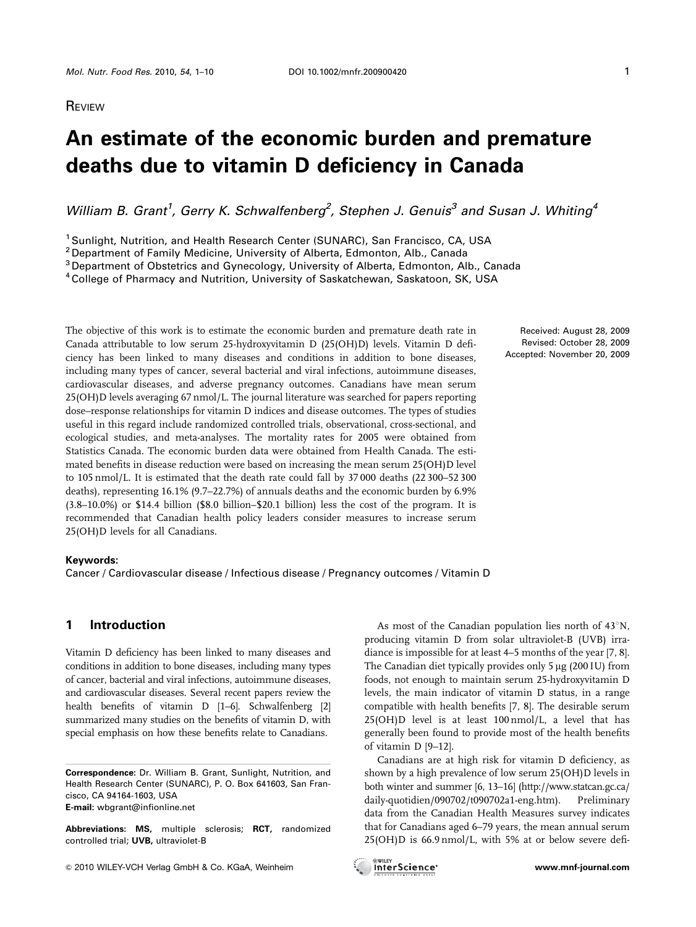# **REVIEW**

# **An estimate of the economic burden and premature deaths due to vitamin D deficiency in Canada**

William B. Grant<sup>1</sup>, Gerry K. Schwalfenberg<sup>2</sup>, Stephen J. Genuis<sup>3</sup> and Susan J. Whiting<sup>4</sup>

<sup>1</sup> Sunlight, Nutrition, and Health Research Center (SUNARC), San Francisco, CA, USA

<sup>2</sup> Department of Family Medicine, University of Alberta, Edmonton, Alb., Canada

<sup>3</sup> Department of Obstetrics and Gynecology, University of Alberta, Edmonton, Alb., Canada

4College of Pharmacy and Nutrition, University of Saskatchewan, Saskatoon, SK, USA

The objective of this work is to estimate the economic burden and premature death rate in Canada attributable to low serum 25-hydroxyvitamin D (25(OH)D) levels. Vitamin D deficiency has been linked to many diseases and conditions in addition to bone diseases, including many types of cancer, several bacterial and viral infections, autoimmune diseases, cardiovascular diseases, and adverse pregnancy outcomes. Canadians have mean serum 25(OH)D levels averaging 67 nmol/L. The journal literature was searched for papers reporting dose–response relationships for vitamin D indices and disease outcomes. The types of studies useful in this regard include randomized controlled trials, observational, cross-sectional, and ecological studies, and meta-analyses. The mortality rates for 2005 were obtained from Statistics Canada. The economic burden data were obtained from Health Canada. The estimated benefits in disease reduction were based on increasing the mean serum 25(OH)D level to 105 nmol/L. It is estimated that the death rate could fall by 37 000 deaths (22 300–52 300 deaths), representing 16.1% (9.7–22.7%) of annuals deaths and the economic burden by 6.9% (3.8–10.0%) or \$14.4 billion (\$8.0 billion–\$20.1 billion) less the cost of the program. It is recommended that Canadian health policy leaders consider measures to increase serum 25(OH)D levels for all Canadians.

## **Keywords:**

Cancer / Cardiovascular disease / Infectious disease / Pregnancy outcomes / Vitamin D

# **1 Introduction**

Vitamin D deficiency has been linked to many diseases and conditions in addition to bone diseases, including many types of cancer, bacterial and viral infections, autoimmune diseases, and cardiovascular diseases. Several recent papers review the health benefits of vitamin D [1–6]. Schwalfenberg [2] summarized many studies on the benefits of vitamin D, with special emphasis on how these benefits relate to Canadians.

**Correspondence:** Dr. William B. Grant, Sunlight, Nutrition, and Health Research Center (SUNARC), P. O. Box 641603, San Francisco, CA 94164-1603, USA **E-mail:** wbgrant@infionline.net

**Abbreviations: MS,** multiple sclerosis; **RCT,** randomized controlled trial; **UVB,** ultraviolet-B

As most of the Canadian population lies north of  $43^{\circ}N$ , producing vitamin D from solar ultraviolet-B (UVB) irradiance is impossible for at least 4–5 months of the year [7, 8]. The Canadian diet typically provides only  $5 \mu$ g (200 IU) from foods, not enough to maintain serum 25-hydroxyvitamin D levels, the main indicator of vitamin D status, in a range compatible with health benefits [7, 8]. The desirable serum 25(OH)D level is at least 100 nmol/L, a level that has generally been found to provide most of the health benefits of vitamin D [9–12].

Canadians are at high risk for vitamin D deficiency, as shown by a high prevalence of low serum 25(OH)D levels in both winter and summer [6, 13–16] (http://www.statcan.gc.ca/ daily-quotidien/090702/t090702a1-eng.htm). Preliminary data from the Canadian Health Measures survey indicates that for Canadians aged 6–79 years, the mean annual serum 25(OH)D is 66.9 nmol/L, with 5% at or below severe defi-

Received: August 28, 2009 Revised: October 28, 2009 Accepted: November 20, 2009





<sup>&</sup>amp; 2010 WILEY-VCH Verlag GmbH & Co. KGaA, Weinheim **www.mnf-journal.com**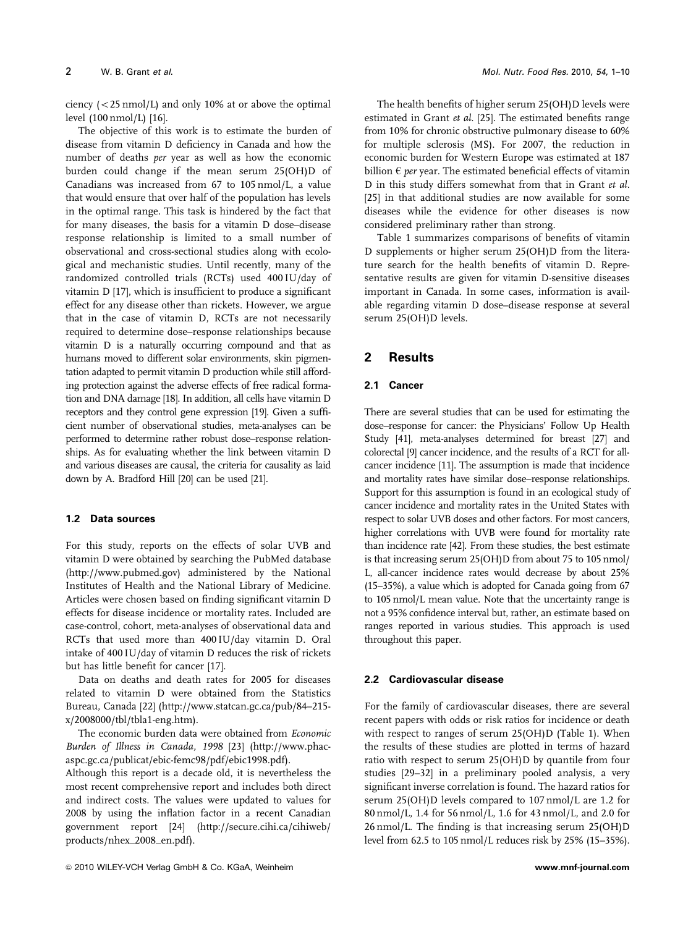ciency  $(<$  25 nmol/L) and only 10% at or above the optimal level (100 nmol/L) [16].

The objective of this work is to estimate the burden of disease from vitamin D deficiency in Canada and how the number of deaths per year as well as how the economic burden could change if the mean serum 25(OH)D of Canadians was increased from 67 to 105 nmol/L, a value that would ensure that over half of the population has levels in the optimal range. This task is hindered by the fact that for many diseases, the basis for a vitamin D dose–disease response relationship is limited to a small number of observational and cross-sectional studies along with ecological and mechanistic studies. Until recently, many of the randomized controlled trials (RCTs) used 400 IU/day of vitamin D [17], which is insufficient to produce a significant effect for any disease other than rickets. However, we argue that in the case of vitamin D, RCTs are not necessarily required to determine dose–response relationships because vitamin D is a naturally occurring compound and that as humans moved to different solar environments, skin pigmentation adapted to permit vitamin D production while still affording protection against the adverse effects of free radical formation and DNA damage [18]. In addition, all cells have vitamin D receptors and they control gene expression [19]. Given a sufficient number of observational studies, meta-analyses can be performed to determine rather robust dose–response relationships. As for evaluating whether the link between vitamin D and various diseases are causal, the criteria for causality as laid down by A. Bradford Hill [20] can be used [21].

#### **1.2 Data sources**

For this study, reports on the effects of solar UVB and vitamin D were obtained by searching the PubMed database (http://www.pubmed.gov) administered by the National Institutes of Health and the National Library of Medicine. Articles were chosen based on finding significant vitamin D effects for disease incidence or mortality rates. Included are case-control, cohort, meta-analyses of observational data and RCTs that used more than 400 IU/day vitamin D. Oral intake of 400 IU/day of vitamin D reduces the risk of rickets but has little benefit for cancer [17].

Data on deaths and death rates for 2005 for diseases related to vitamin D were obtained from the Statistics Bureau, Canada [22] (http://www.statcan.gc.ca/pub/84–215 x/2008000/tbl/tbla1-eng.htm).

The economic burden data were obtained from Economic Burden of Illness in Canada, 1998 [23] (http://www.phacaspc.gc.ca/publicat/ebic-femc98/pdf/ebic1998.pdf).

Although this report is a decade old, it is nevertheless the most recent comprehensive report and includes both direct and indirect costs. The values were updated to values for 2008 by using the inflation factor in a recent Canadian government report [24] (http://secure.cihi.ca/cihiweb/ products/nhex\_2008\_en.pdf).

The health benefits of higher serum 25(OH)D levels were estimated in Grant et al. [25]. The estimated benefits range from 10% for chronic obstructive pulmonary disease to 60% for multiple sclerosis (MS). For 2007, the reduction in economic burden for Western Europe was estimated at 187 billion  $\epsilon$  per year. The estimated beneficial effects of vitamin D in this study differs somewhat from that in Grant et al. [25] in that additional studies are now available for some diseases while the evidence for other diseases is now considered preliminary rather than strong.

Table 1 summarizes comparisons of benefits of vitamin D supplements or higher serum 25(OH)D from the literature search for the health benefits of vitamin D. Representative results are given for vitamin D-sensitive diseases important in Canada. In some cases, information is available regarding vitamin D dose–disease response at several serum 25(OH)D levels.

# **2 Results**

#### **2.1 Cancer**

There are several studies that can be used for estimating the dose–response for cancer: the Physicians' Follow Up Health Study [41], meta-analyses determined for breast [27] and colorectal [9] cancer incidence, and the results of a RCT for allcancer incidence [11]. The assumption is made that incidence and mortality rates have similar dose–response relationships. Support for this assumption is found in an ecological study of cancer incidence and mortality rates in the United States with respect to solar UVB doses and other factors. For most cancers, higher correlations with UVB were found for mortality rate than incidence rate [42]. From these studies, the best estimate is that increasing serum 25(OH)D from about 75 to 105 nmol/ L, all-cancer incidence rates would decrease by about 25% (15–35%), a value which is adopted for Canada going from 67 to 105 nmol/L mean value. Note that the uncertainty range is not a 95% confidence interval but, rather, an estimate based on ranges reported in various studies. This approach is used throughout this paper.

#### **2.2 Cardiovascular disease**

For the family of cardiovascular diseases, there are several recent papers with odds or risk ratios for incidence or death with respect to ranges of serum 25(OH)D (Table 1). When the results of these studies are plotted in terms of hazard ratio with respect to serum 25(OH)D by quantile from four studies [29–32] in a preliminary pooled analysis, a very significant inverse correlation is found. The hazard ratios for serum 25(OH)D levels compared to 107 nmol/L are 1.2 for 80 nmol/L, 1.4 for 56 nmol/L, 1.6 for 43 nmol/L, and 2.0 for 26 nmol/L. The finding is that increasing serum 25(OH)D level from 62.5 to 105 nmol/L reduces risk by 25% (15–35%).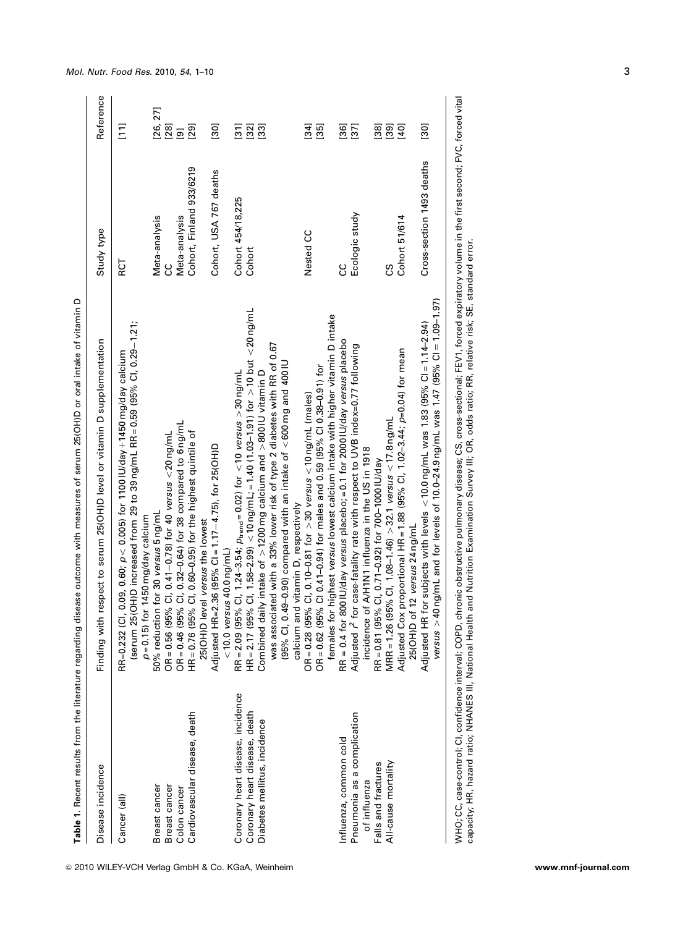|                                                               | Table 1. Recent results from the literature regarding disease outcome with measures of serum 25(OH)D or oral intake of vitamin D                                                                                                               |                           |                                              |
|---------------------------------------------------------------|------------------------------------------------------------------------------------------------------------------------------------------------------------------------------------------------------------------------------------------------|---------------------------|----------------------------------------------|
| Disease incidence                                             | Finding with respect to serum 25(OH)D level or vitamin D supplementation                                                                                                                                                                       | Study type                | Reference                                    |
| Cancer (all)                                                  | (serum 25(OH)D increased from 29 to 39 ng/mL RR = 0.59 (95% CI, 0.29-1.21;<br>RR=0.232 (Cl, 0.09, 0.60; $p$ < 0.005) for 1100 IU/day +1450 mg/day calcium<br>$p = 0.15$ ) for 1450 mg/day calcium                                              | RCT                       | $\Xi$                                        |
| Breast cancer<br>Breast cancer                                | 50% reduction for 30 versus 5 ng/mL<br>OR=0.56 (95% Cl, 0.41–0.78) for 40 versus <20 ng/mL<br>OR=0.46 (95% Cl, 0.32–0.64) for 38 compared to 6 ng/mL                                                                                           | Meta-analysis<br>ပ္ပ      | [26, 27]<br>$[28]$                           |
| Colon cancer                                                  |                                                                                                                                                                                                                                                | Meta-analysis             | <u>[6]</u>                                   |
| Cardiovascular disease, death                                 | HR=0.76 (95% Cl, 0.60-0.95) for the highest quintile of                                                                                                                                                                                        | Cohort, Finland 933/6219  | $[29]$                                       |
|                                                               | Adjusted HR=2.36 (95% CI = 1.17-4.75), for 25(OH)D<br>25(OH)D level versus the lowest<br>$<$ 10.0 versus 40.0 ng/mL)                                                                                                                           | Cohort, USA 767 deaths    | $[30]$                                       |
| Coronary heart disease, incidence                             |                                                                                                                                                                                                                                                | Cohort 454/18,225         | $\frac{1}{2}$                                |
| Coronary heart disease, death<br>Diabetes mellitus, incidence | RR=2.09 (95% Cl, 1.24–3.54; <sub>Ptrend</sub> =0.02) for <10 <i>versus</i> >30 ng/mL<br>HR=2.17 (95% Cl, 1.58–2.99) <10 ng/mL;=1.40 (1.03–1.91) for >10 but <20 ng/mL<br>Combined daily intake of $>$ 1200 mg calcium and $>$ 800 IU vitamin D | Cohort                    | $[32]$<br>$\begin{bmatrix} 33 \end{bmatrix}$ |
|                                                               | was associated with a 33% lower risk of type 2 diabetes with RR of 0.67<br>(95% Cl, 0.49–0.90) compared with an intake of $<\!\!600\,\mathrm{mg}$ and 400 IU                                                                                   |                           |                                              |
|                                                               | nd vitamin D, respectively<br>calcium ar                                                                                                                                                                                                       |                           |                                              |
|                                                               | OR = 0.28 (95% Cl, 0.10–0.81 for >30 <i>versus &lt;</i> 10 ng/mL (males)<br>OR = 0.62 (95% Cl 0.41–0.94) for males and 0.59 (95% Cl 0.38–0.91) for                                                                                             | Nested CC                 | [34]                                         |
|                                                               | females for highest versus lowest calcium intake with higher vitamin D intake                                                                                                                                                                  |                           | $\begin{bmatrix} 35 \end{bmatrix}$           |
| Influenza, common cold                                        | RR = 0.4 for 800 IU/day versus placebo; = 0.1 for 2000 IU/day versus placebo                                                                                                                                                                   | ပ္ပ                       | $[36]$                                       |
| Pneumonia as a complication                                   | Adjusted r for case-fatality rate with respect to UVB index=0.77 following                                                                                                                                                                     | Ecologic study            | $[37]$                                       |
| of influenza                                                  | incidence of A/H1N1 influenza in the US in 1918                                                                                                                                                                                                |                           |                                              |
| Falls and fractures                                           | RR = 0.81 (95% Cl, 0.71-0.92) for 700-1000 IU/day                                                                                                                                                                                              |                           | $[38]$                                       |
| All-cause mortality                                           | MRR = 1.26 (95% Cl, 1.08-1.46) $> 32.1$ versus < 17.8 ng/mL                                                                                                                                                                                    | ပ္ပ                       | $[39]$                                       |
|                                                               | : proportional HR = 1.88 (95% CI, 1.02-3.44; p=0.04) for mean<br>25(OH)D of 12 versus 24 ng/mL<br>Adjusted Cox                                                                                                                                 | Cohort 51/614             | [40]                                         |
|                                                               | versus $>$ 40 ng/mL and for levels of 10.0–24.9 ng/mL was 1.47 (95% CI = 1.09–1.97)<br>for subjects with levels $<$ 10.0 ng/mL was 1.83 (95% CI = 1.14-2.94)<br>Adjusted HR                                                                    | Cross-section 1493 deaths | $\begin{bmatrix} 30 \end{bmatrix}$           |

WHO; CC, case-control; Cl, confidence interval; COPD, chronic obstructive pulmonary disease; CS, cross-sectional; FEV1, forced expiratory volume in the first second; FVC, forced vital<br>capacity; HR, hazard ratio; NHANES III WHO; CC, case-control; CI, confidence interval; COPD, chronic obstructive pulmonary disease; CS, cross-sectional; FEV1, forced expiratory volume in the first second; FVC, forced vital capacity; HR, hazard ratio; NHANES III, National Health and Nutrition Examination Survey III; OR, odds ratio; RR, relative risk; SE, standard error.

## *Mol. Nutr. Food Res.* 2010, *54*, 1–10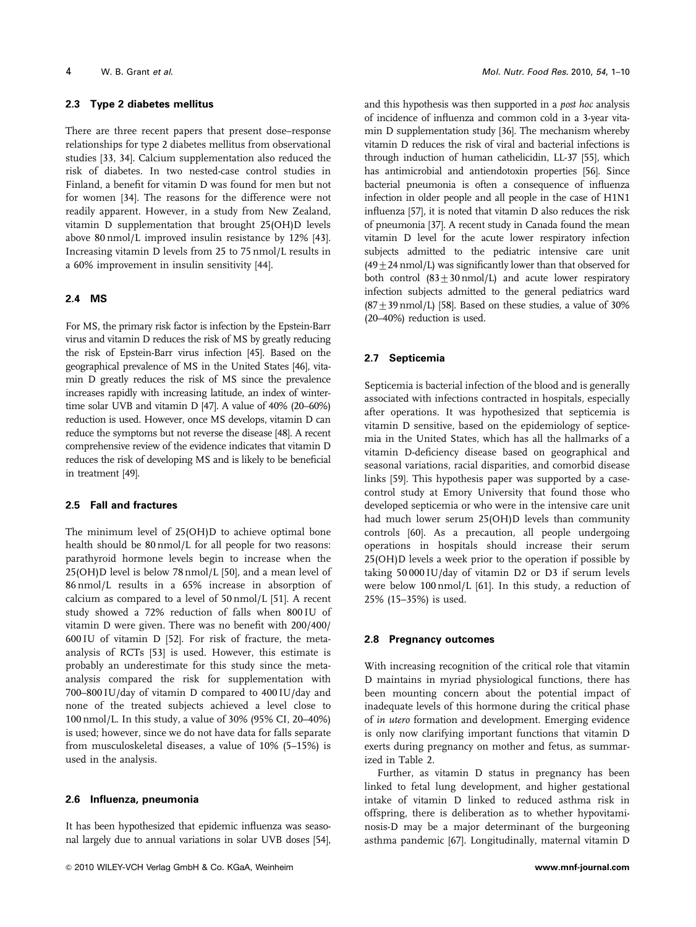#### **2.3 Type 2 diabetes mellitus**

There are three recent papers that present dose–response relationships for type 2 diabetes mellitus from observational studies [33, 34]. Calcium supplementation also reduced the risk of diabetes. In two nested-case control studies in Finland, a benefit for vitamin D was found for men but not for women [34]. The reasons for the difference were not readily apparent. However, in a study from New Zealand, vitamin D supplementation that brought 25(OH)D levels above 80 nmol/L improved insulin resistance by 12% [43]. Increasing vitamin D levels from 25 to 75 nmol/L results in a 60% improvement in insulin sensitivity [44].

#### **2.4 MS**

For MS, the primary risk factor is infection by the Epstein-Barr virus and vitamin D reduces the risk of MS by greatly reducing the risk of Epstein-Barr virus infection [45]. Based on the geographical prevalence of MS in the United States [46], vitamin D greatly reduces the risk of MS since the prevalence increases rapidly with increasing latitude, an index of wintertime solar UVB and vitamin D [47]. A value of 40% (20–60%) reduction is used. However, once MS develops, vitamin D can reduce the symptoms but not reverse the disease [48]. A recent comprehensive review of the evidence indicates that vitamin D reduces the risk of developing MS and is likely to be beneficial in treatment [49].

## **2.5 Fall and fractures**

The minimum level of 25(OH)D to achieve optimal bone health should be 80 nmol/L for all people for two reasons: parathyroid hormone levels begin to increase when the 25(OH)D level is below 78 nmol/L [50], and a mean level of 86 nmol/L results in a 65% increase in absorption of calcium as compared to a level of 50 nmol/L [51]. A recent study showed a 72% reduction of falls when 800 IU of vitamin D were given. There was no benefit with 200/400/ 600 IU of vitamin D [52]. For risk of fracture, the metaanalysis of RCTs [53] is used. However, this estimate is probably an underestimate for this study since the metaanalysis compared the risk for supplementation with 700–800 IU/day of vitamin D compared to 400 IU/day and none of the treated subjects achieved a level close to 100 nmol/L. In this study, a value of 30% (95% CI, 20–40%) is used; however, since we do not have data for falls separate from musculoskeletal diseases, a value of 10% (5–15%) is used in the analysis.

#### **2.6 Influenza, pneumonia**

It has been hypothesized that epidemic influenza was seasonal largely due to annual variations in solar UVB doses [54], and this hypothesis was then supported in a post hoc analysis of incidence of influenza and common cold in a 3-year vitamin D supplementation study [36]. The mechanism whereby vitamin D reduces the risk of viral and bacterial infections is through induction of human cathelicidin, LL-37 [55], which has antimicrobial and antiendotoxin properties [56]. Since bacterial pneumonia is often a consequence of influenza infection in older people and all people in the case of H1N1 influenza [57], it is noted that vitamin D also reduces the risk of pneumonia [37]. A recent study in Canada found the mean vitamin D level for the acute lower respiratory infection subjects admitted to the pediatric intensive care unit  $(49 + 24$  nmol/L) was significantly lower than that observed for both control  $(83 \pm 30 \text{ nmol/L})$  and acute lower respiratory infection subjects admitted to the general pediatrics ward  $(87\pm39 \text{ nmol/L})$  [58]. Based on these studies, a value of 30% (20–40%) reduction is used.

#### **2.7 Septicemia**

Septicemia is bacterial infection of the blood and is generally associated with infections contracted in hospitals, especially after operations. It was hypothesized that septicemia is vitamin D sensitive, based on the epidemiology of septicemia in the United States, which has all the hallmarks of a vitamin D-deficiency disease based on geographical and seasonal variations, racial disparities, and comorbid disease links [59]. This hypothesis paper was supported by a casecontrol study at Emory University that found those who developed septicemia or who were in the intensive care unit had much lower serum 25(OH)D levels than community controls [60]. As a precaution, all people undergoing operations in hospitals should increase their serum 25(OH)D levels a week prior to the operation if possible by taking 50 000 IU/day of vitamin D2 or D3 if serum levels were below 100 nmol/L [61]. In this study, a reduction of 25% (15–35%) is used.

#### **2.8 Pregnancy outcomes**

With increasing recognition of the critical role that vitamin D maintains in myriad physiological functions, there has been mounting concern about the potential impact of inadequate levels of this hormone during the critical phase of in utero formation and development. Emerging evidence is only now clarifying important functions that vitamin D exerts during pregnancy on mother and fetus, as summarized in Table 2.

Further, as vitamin D status in pregnancy has been linked to fetal lung development, and higher gestational intake of vitamin D linked to reduced asthma risk in offspring, there is deliberation as to whether hypovitaminosis-D may be a major determinant of the burgeoning asthma pandemic [67]. Longitudinally, maternal vitamin D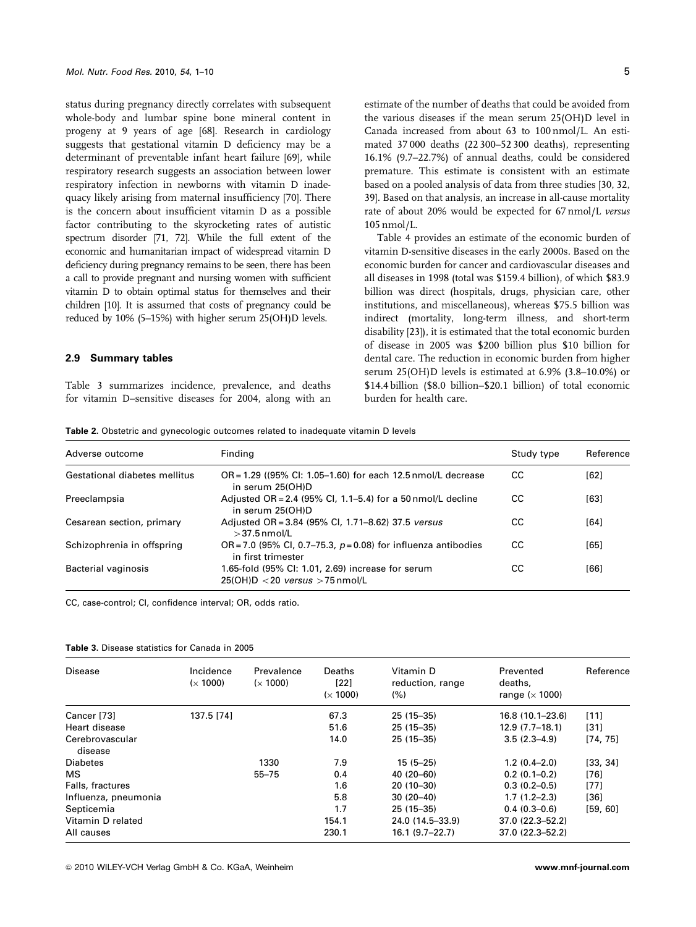status during pregnancy directly correlates with subsequent whole-body and lumbar spine bone mineral content in progeny at 9 years of age [68]. Research in cardiology suggests that gestational vitamin D deficiency may be a determinant of preventable infant heart failure [69], while respiratory research suggests an association between lower respiratory infection in newborns with vitamin D inadequacy likely arising from maternal insufficiency [70]. There is the concern about insufficient vitamin D as a possible factor contributing to the skyrocketing rates of autistic spectrum disorder [71, 72]. While the full extent of the economic and humanitarian impact of widespread vitamin D deficiency during pregnancy remains to be seen, there has been a call to provide pregnant and nursing women with sufficient vitamin D to obtain optimal status for themselves and their children [10]. It is assumed that costs of pregnancy could be reduced by 10% (5–15%) with higher serum 25(OH)D levels.

## **2.9 Summary tables**

Table 3 summarizes incidence, prevalence, and deaths for vitamin D–sensitive diseases for 2004, along with an

estimate of the number of deaths that could be avoided from the various diseases if the mean serum 25(OH)D level in Canada increased from about 63 to 100 nmol/L. An estimated 37 000 deaths (22 300–52 300 deaths), representing 16.1% (9.7–22.7%) of annual deaths, could be considered premature. This estimate is consistent with an estimate based on a pooled analysis of data from three studies [30, 32, 39]. Based on that analysis, an increase in all-cause mortality rate of about 20% would be expected for 67 nmol/L versus 105 nmol/L.

Table 4 provides an estimate of the economic burden of vitamin D-sensitive diseases in the early 2000s. Based on the economic burden for cancer and cardiovascular diseases and all diseases in 1998 (total was \$159.4 billion), of which \$83.9 billion was direct (hospitals, drugs, physician care, other institutions, and miscellaneous), whereas \$75.5 billion was indirect (mortality, long-term illness, and short-term disability [23]), it is estimated that the total economic burden of disease in 2005 was \$200 billion plus \$10 billion for dental care. The reduction in economic burden from higher serum 25(OH)D levels is estimated at 6.9% (3.8–10.0%) or \$14.4 billion (\$8.0 billion–\$20.1 billion) of total economic burden for health care.

**Table 2.** Obstetric and gynecologic outcomes related to inadequate vitamin D levels

| Adverse outcome               | Finding                                                                                  | Study type | Reference |
|-------------------------------|------------------------------------------------------------------------------------------|------------|-----------|
| Gestational diabetes mellitus | $OR = 1.29$ ((95% CI: 1.05–1.60) for each 12.5 nmol/L decrease<br>in serum 25(OH)D       | CC         | [62]      |
| Preeclampsia                  | Adjusted OR = 2.4 (95% CI, 1.1–5.4) for a 50 nmol/L decline<br>in serum 25(OH)D          | CC.        | [63]      |
| Cesarean section, primary     | Adjusted OR = 3.84 (95% CI, 1.71–8.62) 37.5 versus<br>$>$ 37.5 nmol/L                    | CС         | [64]      |
| Schizophrenia in offspring    | OR = 7.0 (95% CI, 0.7–75.3, $p = 0.08$ ) for influenza antibodies<br>in first trimester  | CC.        | [65]      |
| Bacterial vaginosis           | 1.65-fold (95% CI: 1.01, 2.69) increase for serum<br>$25(OH)D < 20$ versus $> 75$ nmol/L | CС         | [66]      |

CC, case-control; CI, confidence interval; OR, odds ratio.

| <b>Table 3.</b> Disease statistics for Canada in 2005 |
|-------------------------------------------------------|
|-------------------------------------------------------|

| Disease                    | Incidence<br>(x 1000) | Prevalence<br>(x 1000) | Deaths<br>$[22]$<br>(x 1000) | Vitamin D<br>reduction, range<br>(% ) | Prevented<br>deaths,<br>range $(x 1000)$ | Reference |
|----------------------------|-----------------------|------------------------|------------------------------|---------------------------------------|------------------------------------------|-----------|
| Cancer [73]                | 137.5 [74]            |                        | 67.3                         | $25(15-35)$                           | $16.8(10.1 - 23.6)$                      | [11]      |
| Heart disease              |                       |                        | 51.6                         | $25(15-35)$                           | $12.9(7.7-18.1)$                         | $[31]$    |
| Cerebrovascular<br>disease |                       |                        | 14.0                         | $25(15-35)$                           | $3.5(2.3 - 4.9)$                         | [74, 75]  |
| <b>Diabetes</b>            |                       | 1330                   | 7.9                          | $15(5 - 25)$                          | $1.2(0.4-2.0)$                           | [33, 34]  |
| MS.                        |                       | $55 - 75$              | 0.4                          | $40(20-60)$                           | $0.2(0.1-0.2)$                           | [76]      |
| Falls, fractures           |                       |                        | 1.6                          | $20(10-30)$                           | $0.3(0.2-0.5)$                           | [77]      |
| Influenza, pneumonia       |                       |                        | 5.8                          | $30(20-40)$                           | $1.7(1.2 - 2.3)$                         | [36]      |
| Septicemia                 |                       |                        | 1.7                          | $25(15-35)$                           | $0.4(0.3-0.6)$                           | [59, 60]  |
| Vitamin D related          |                       |                        | 154.1                        | 24.0 (14.5–33.9)                      | $37.0(22.3 - 52.2)$                      |           |
| All causes                 |                       |                        | 230.1                        | $16.1(9.7-22.7)$                      | $37.0(22.3 - 52.2)$                      |           |

& 2010 WILEY-VCH Verlag GmbH & Co. KGaA, Weinheim **www.mnf-journal.com**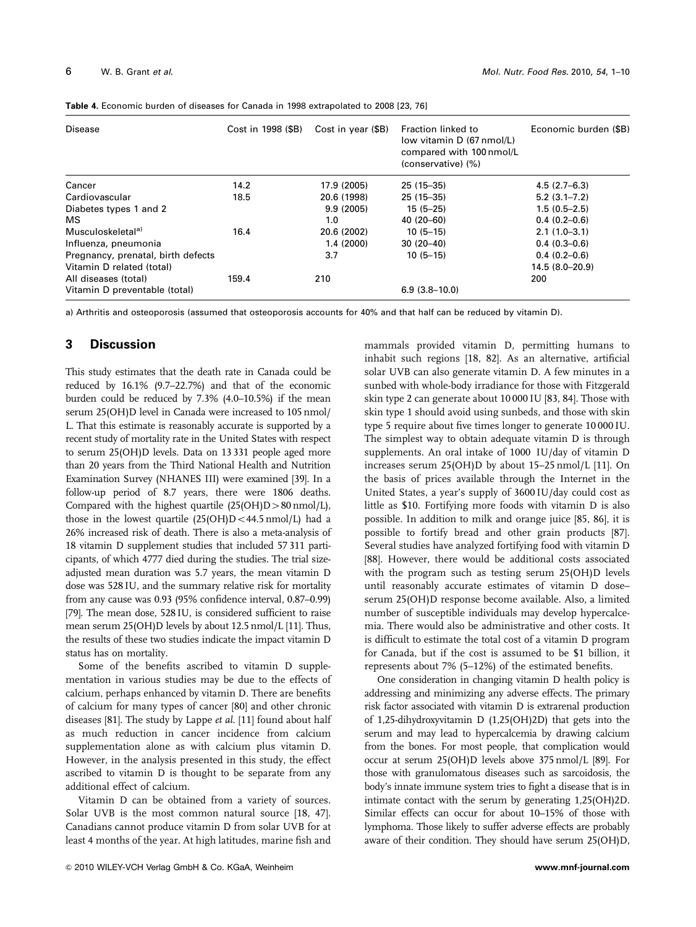| Disease                            | Cost in 1998 (\$B) | Cost in year (\$B) | Fraction linked to<br>low vitamin D (67 nmol/L)<br>compared with 100 nmol/L<br>(conservative) (%) | Economic burden (\$B) |
|------------------------------------|--------------------|--------------------|---------------------------------------------------------------------------------------------------|-----------------------|
| Cancer                             | 14.2               | 17.9 (2005)        | $25(15-35)$                                                                                       | $4.5(2.7-6.3)$        |
| Cardiovascular                     | 18.5               | 20.6 (1998)        | $25(15-35)$                                                                                       | $5.2(3.1 - 7.2)$      |
| Diabetes types 1 and 2             |                    | 9.9(2005)          | $15(5-25)$                                                                                        | $1.5(0.5-2.5)$        |
| MS                                 |                    | 1.0                | $40(20-60)$                                                                                       | $0.4(0.2-0.6)$        |
| Musculoskeletal <sup>a)</sup>      | 16.4               | 20.6 (2002)        | $10(5-15)$                                                                                        | $2.1(1.0-3.1)$        |
| Influenza, pneumonia               |                    | 1.4(2000)          | $30(20-40)$                                                                                       | $0.4(0.3-0.6)$        |
| Pregnancy, prenatal, birth defects |                    | 3.7                | $10(5-15)$                                                                                        | $0.4(0.2-0.6)$        |
| Vitamin D related (total)          |                    |                    |                                                                                                   | 14.5 (8.0–20.9)       |
| All diseases (total)               | 159.4              | 210                |                                                                                                   | 200                   |
| Vitamin D preventable (total)      |                    |                    | $6.9(3.8-10.0)$                                                                                   |                       |

**Table 4.** Economic burden of diseases for Canada in 1998 extrapolated to 2008 [23, 76]

a) Arthritis and osteoporosis (assumed that osteoporosis accounts for 40% and that half can be reduced by vitamin D).

## **3 Discussion**

This study estimates that the death rate in Canada could be reduced by 16.1% (9.7–22.7%) and that of the economic burden could be reduced by 7.3% (4.0–10.5%) if the mean serum 25(OH)D level in Canada were increased to 105 nmol/ L. That this estimate is reasonably accurate is supported by a recent study of mortality rate in the United States with respect to serum 25(OH)D levels. Data on 13 331 people aged more than 20 years from the Third National Health and Nutrition Examination Survey (NHANES III) were examined [39]. In a follow-up period of 8.7 years, there were 1806 deaths. Compared with the highest quartile  $(25(OH)D > 80 \text{ nmol/L})$ , those in the lowest quartile  $(25(OH)D < 44.5 \text{ nmol/L})$  had a 26% increased risk of death. There is also a meta-analysis of 18 vitamin D supplement studies that included 57 311 participants, of which 4777 died during the studies. The trial sizeadjusted mean duration was 5.7 years, the mean vitamin D dose was 528 IU, and the summary relative risk for mortality from any cause was 0.93 (95% confidence interval, 0.87–0.99) [79]. The mean dose, 528 IU, is considered sufficient to raise mean serum 25(OH)D levels by about 12.5 nmol/L [11]. Thus, the results of these two studies indicate the impact vitamin D status has on mortality.

Some of the benefits ascribed to vitamin D supplementation in various studies may be due to the effects of calcium, perhaps enhanced by vitamin D. There are benefits of calcium for many types of cancer [80] and other chronic diseases [81]. The study by Lappe et al. [11] found about half as much reduction in cancer incidence from calcium supplementation alone as with calcium plus vitamin D. However, in the analysis presented in this study, the effect ascribed to vitamin D is thought to be separate from any additional effect of calcium.

Vitamin D can be obtained from a variety of sources. Solar UVB is the most common natural source [18, 47]. Canadians cannot produce vitamin D from solar UVB for at least 4 months of the year. At high latitudes, marine fish and

mammals provided vitamin D, permitting humans to inhabit such regions [18, 82]. As an alternative, artificial solar UVB can also generate vitamin D. A few minutes in a sunbed with whole-body irradiance for those with Fitzgerald skin type 2 can generate about 10 000 IU [83, 84]. Those with skin type 1 should avoid using sunbeds, and those with skin type 5 require about five times longer to generate 10 000 IU. The simplest way to obtain adequate vitamin D is through supplements. An oral intake of 1000 IU/day of vitamin D increases serum 25(OH)D by about 15–25 nmol/L [11]. On the basis of prices available through the Internet in the United States, a year's supply of 3600 IU/day could cost as little as \$10. Fortifying more foods with vitamin D is also possible. In addition to milk and orange juice [85, 86], it is possible to fortify bread and other grain products [87]. Several studies have analyzed fortifying food with vitamin D [88]. However, there would be additional costs associated with the program such as testing serum 25(OH)D levels until reasonably accurate estimates of vitamin D dose– serum 25(OH)D response become available. Also, a limited number of susceptible individuals may develop hypercalcemia. There would also be administrative and other costs. It is difficult to estimate the total cost of a vitamin D program for Canada, but if the cost is assumed to be \$1 billion, it represents about 7% (5–12%) of the estimated benefits.

One consideration in changing vitamin D health policy is addressing and minimizing any adverse effects. The primary risk factor associated with vitamin D is extrarenal production of 1,25-dihydroxyvitamin D (1,25(OH)2D) that gets into the serum and may lead to hypercalcemia by drawing calcium from the bones. For most people, that complication would occur at serum 25(OH)D levels above 375 nmol/L [89]. For those with granulomatous diseases such as sarcoidosis, the body's innate immune system tries to fight a disease that is in intimate contact with the serum by generating 1,25(OH)2D. Similar effects can occur for about 10–15% of those with lymphoma. Those likely to suffer adverse effects are probably aware of their condition. They should have serum 25(OH)D,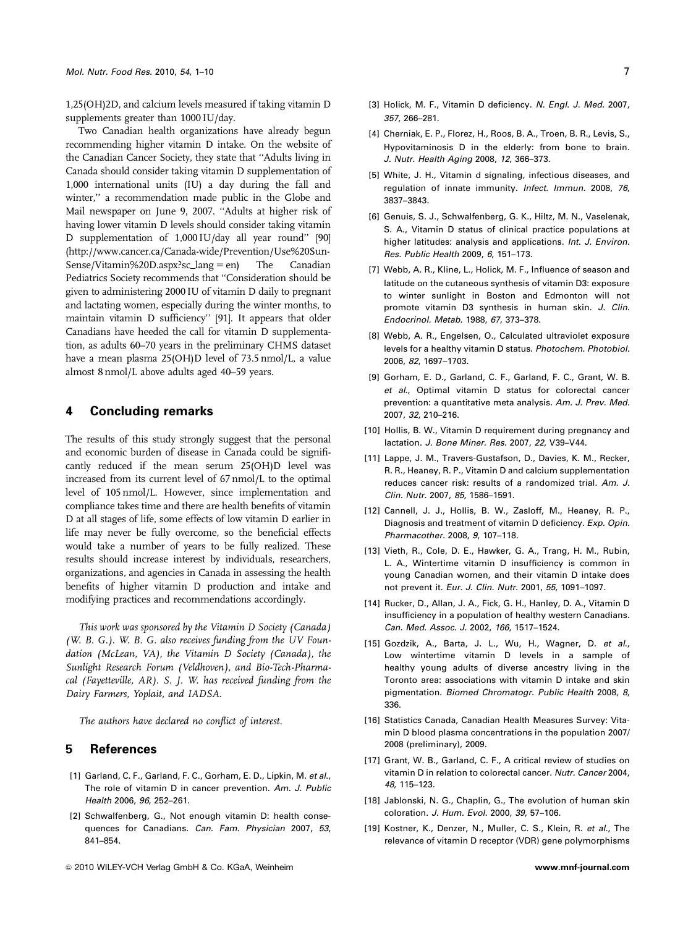1,25(OH)2D, and calcium levels measured if taking vitamin D supplements greater than 1000 IU/day.

Two Canadian health organizations have already begun recommending higher vitamin D intake. On the website of the Canadian Cancer Society, they state that ''Adults living in Canada should consider taking vitamin D supplementation of 1,000 international units (IU) a day during the fall and winter,'' a recommendation made public in the Globe and Mail newspaper on June 9, 2007. ''Adults at higher risk of having lower vitamin D levels should consider taking vitamin D supplementation of 1,000 IU/day all year round'' [90] (http://www.cancer.ca/Canada-wide/Prevention/Use%20Sun- $Sense/Vitamin%20D.aspx?sc_lang = en$  The Canadian Pediatrics Society recommends that ''Consideration should be given to administering 2000 IU of vitamin D daily to pregnant and lactating women, especially during the winter months, to maintain vitamin D sufficiency'' [91]. It appears that older Canadians have heeded the call for vitamin D supplementation, as adults 60–70 years in the preliminary CHMS dataset have a mean plasma 25(OH)D level of 73.5 nmol/L, a value almost 8 nmol/L above adults aged 40–59 years.

## **4 Concluding remarks**

The results of this study strongly suggest that the personal and economic burden of disease in Canada could be significantly reduced if the mean serum 25(OH)D level was increased from its current level of 67 nmol/L to the optimal level of 105 nmol/L. However, since implementation and compliance takes time and there are health benefits of vitamin D at all stages of life, some effects of low vitamin D earlier in life may never be fully overcome, so the beneficial effects would take a number of years to be fully realized. These results should increase interest by individuals, researchers, organizations, and agencies in Canada in assessing the health benefits of higher vitamin D production and intake and modifying practices and recommendations accordingly.

This work was sponsored by the Vitamin D Society (Canada) (W. B. G.). W. B. G. also receives funding from the UV Foundation (McLean, VA), the Vitamin D Society (Canada), the Sunlight Research Forum (Veldhoven), and Bio-Tech-Pharmacal (Fayetteville, AR). S. J. W. has received funding from the Dairy Farmers, Yoplait, and IADSA.

The authors have declared no conflict of interest.

# **5 References**

- [1] Garland, C. F., Garland, F. C., Gorham, E. D., Lipkin, M. *et al*., The role of vitamin D in cancer prevention. *Am. J. Public Health* 2006, *96*, 252–261.
- [2] Schwalfenberg, G., Not enough vitamin D: health consequences for Canadians. *Can. Fam. Physician* 2007, *53*, 841–854.
- [3] Holick, M. F., Vitamin D deficiency. *N. Engl. J. Med.* 2007, *357*, 266–281.
- [4] Cherniak, E. P., Florez, H., Roos, B. A., Troen, B. R., Levis, S., Hypovitaminosis D in the elderly: from bone to brain. *J. Nutr. Health Aging* 2008, *12*, 366–373.
- [5] White, J. H., Vitamin d signaling, infectious diseases, and regulation of innate immunity. *Infect. Immun.* 2008, *76*, 3837–3843.
- [6] Genuis, S. J., Schwalfenberg, G. K., Hiltz, M. N., Vaselenak, S. A., Vitamin D status of clinical practice populations at higher latitudes: analysis and applications. *Int. J. Environ. Res. Public Health* 2009, *6*, 151–173.
- [7] Webb, A. R., Kline, L., Holick, M. F., Influence of season and latitude on the cutaneous synthesis of vitamin D3: exposure to winter sunlight in Boston and Edmonton will not promote vitamin D3 synthesis in human skin. *J. Clin. Endocrinol. Metab.* 1988, *67*, 373–378.
- [8] Webb, A. R., Engelsen, O., Calculated ultraviolet exposure levels for a healthy vitamin D status. *Photochem. Photobiol.* 2006, *82*, 1697–1703.
- [9] Gorham, E. D., Garland, C. F., Garland, F. C., Grant, W. B. *et al*., Optimal vitamin D status for colorectal cancer prevention: a quantitative meta analysis. *Am. J. Prev. Med.* 2007, *32*, 210–216.
- [10] Hollis, B. W., Vitamin D requirement during pregnancy and lactation. *J. Bone Miner. Res.* 2007, *22*, V39–V44.
- [11] Lappe, J. M., Travers-Gustafson, D., Davies, K. M., Recker, R. R., Heaney, R. P., Vitamin D and calcium supplementation reduces cancer risk: results of a randomized trial. *Am. J. Clin. Nutr.* 2007, *85*, 1586–1591.
- [12] Cannell, J. J., Hollis, B. W., Zasloff, M., Heaney, R. P., Diagnosis and treatment of vitamin D deficiency. *Exp. Opin. Pharmacother.* 2008, *9*, 107–118.
- [13] Vieth, R., Cole, D. E., Hawker, G. A., Trang, H. M., Rubin, L. A., Wintertime vitamin D insufficiency is common in young Canadian women, and their vitamin D intake does not prevent it. *Eur. J. Clin. Nutr.* 2001, *55*, 1091–1097.
- [14] Rucker, D., Allan, J. A., Fick, G. H., Hanley, D. A., Vitamin D insufficiency in a population of healthy western Canadians. *Can. Med. Assoc. J.* 2002, *166*, 1517–1524.
- [15] Gozdzik, A., Barta, J. L., Wu, H., Wagner, D. *et al*., Low wintertime vitamin D levels in a sample of healthy young adults of diverse ancestry living in the Toronto area: associations with vitamin D intake and skin pigmentation. *Biomed Chromatogr. Public Health* 2008, *8*, 336.
- [16] Statistics Canada, Canadian Health Measures Survey: Vitamin D blood plasma concentrations in the population 2007/ 2008 (preliminary), 2009.
- [17] Grant, W. B., Garland, C. F., A critical review of studies on vitamin D in relation to colorectal cancer. *Nutr. Cancer* 2004, *48*, 115–123.
- [18] Jablonski, N. G., Chaplin, G., The evolution of human skin coloration. *J. Hum. Evol.* 2000, *39*, 57–106.
- [19] Kostner, K., Denzer, N., Muller, C. S., Klein, R. *et al*., The relevance of vitamin D receptor (VDR) gene polymorphisms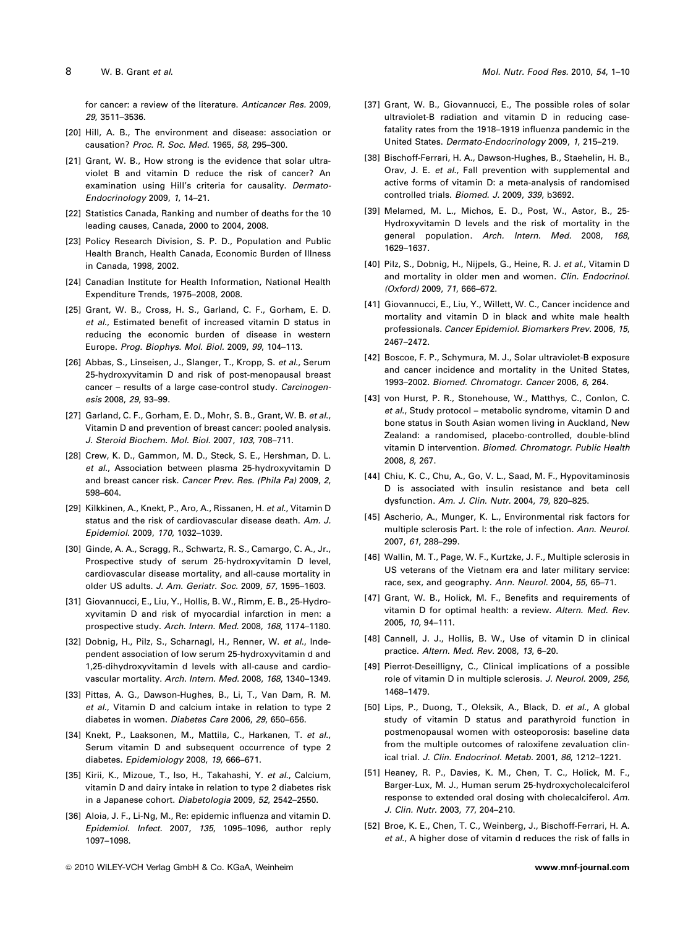for cancer: a review of the literature. *Anticancer Res.* 2009, *29*, 3511–3536.

- [20] Hill, A. B., The environment and disease: association or causation? *Proc. R. Soc. Med.* 1965, *58*, 295–300.
- [21] Grant, W. B., How strong is the evidence that solar ultraviolet B and vitamin D reduce the risk of cancer? An examination using Hill's criteria for causality. *Dermato-Endocrinology* 2009, *1*, 14–21.
- [22] Statistics Canada, Ranking and number of deaths for the 10 leading causes, Canada, 2000 to 2004, 2008.
- [23] Policy Research Division, S. P. D., Population and Public Health Branch, Health Canada, Economic Burden of Illness in Canada, 1998, 2002.
- [24] Canadian Institute for Health Information, National Health Expenditure Trends, 1975–2008, 2008.
- [25] Grant, W. B., Cross, H. S., Garland, C. F., Gorham, E. D. *et al*., Estimated benefit of increased vitamin D status in reducing the economic burden of disease in western Europe. *Prog. Biophys. Mol. Biol.* 2009, *99*, 104–113.
- [26] Abbas, S., Linseisen, J., Slanger, T., Kropp, S. *et al*., Serum 25-hydroxyvitamin D and risk of post-menopausal breast cancer – results of a large case-control study. *Carcinogenesis* 2008, *29*, 93–99.
- [27] Garland, C. F., Gorham, E. D., Mohr, S. B., Grant, W. B. *et al*., Vitamin D and prevention of breast cancer: pooled analysis. *J. Steroid Biochem. Mol. Biol.* 2007, *103*, 708–711.
- [28] Crew, K. D., Gammon, M. D., Steck, S. E., Hershman, D. L. *et al*., Association between plasma 25-hydroxyvitamin D and breast cancer risk. *Cancer Prev. Res. (Phila Pa)* 2009, *2*, 598–604.
- [29] Kilkkinen, A., Knekt, P., Aro, A., Rissanen, H. *et al*., Vitamin D status and the risk of cardiovascular disease death. *Am. J. Epidemiol.* 2009, *170*, 1032–1039.
- [30] Ginde, A. A., Scragg, R., Schwartz, R. S., Camargo, C. A., Jr., Prospective study of serum 25-hydroxyvitamin D level, cardiovascular disease mortality, and all-cause mortality in older US adults. *J. Am. Geriatr. Soc.* 2009, *57*, 1595–1603.
- [31] Giovannucci, E., Liu, Y., Hollis, B. W., Rimm, E. B., 25-Hydroxyvitamin D and risk of myocardial infarction in men: a prospective study. *Arch. Intern. Med.* 2008, *168*, 1174–1180.
- [32] Dobnig, H., Pilz, S., Scharnagl, H., Renner, W. *et al*., Independent association of low serum 25-hydroxyvitamin d and 1,25-dihydroxyvitamin d levels with all-cause and cardiovascular mortality. *Arch. Intern. Med.* 2008, *168*, 1340–1349.
- [33] Pittas, A. G., Dawson-Hughes, B., Li, T., Van Dam, R. M. *et al*., Vitamin D and calcium intake in relation to type 2 diabetes in women. *Diabetes Care* 2006, *29*, 650–656.
- [34] Knekt, P., Laaksonen, M., Mattila, C., Harkanen, T. *et al*., Serum vitamin D and subsequent occurrence of type 2 diabetes. *Epidemiology* 2008, *19*, 666–671.
- [35] Kirii, K., Mizoue, T., Iso, H., Takahashi, Y. *et al*., Calcium, vitamin D and dairy intake in relation to type 2 diabetes risk in a Japanese cohort. *Diabetologia* 2009, *52*, 2542–2550.
- [36] Aloia, J. F., Li-Ng, M., Re: epidemic influenza and vitamin D. *Epidemiol. Infect.* 2007, *135*, 1095–1096, author reply 1097–1098.
- [37] Grant, W. B., Giovannucci, E., The possible roles of solar ultraviolet-B radiation and vitamin D in reducing casefatality rates from the 1918–1919 influenza pandemic in the United States. *Dermato-Endocrinology* 2009, *1*, 215–219.
- [38] Bischoff-Ferrari, H. A., Dawson-Hughes, B., Staehelin, H. B., Orav, J. E. *et al*., Fall prevention with supplemental and active forms of vitamin D: a meta-analysis of randomised controlled trials. *Biomed. J.* 2009, *339*, b3692.
- [39] Melamed, M. L., Michos, E. D., Post, W., Astor, B., 25- Hydroxyvitamin D levels and the risk of mortality in the general population. *Arch. Intern. Med.* 2008, *168*, 1629–1637.
- [40] Pilz, S., Dobnig, H., Nijpels, G., Heine, R. J. *et al*., Vitamin D and mortality in older men and women. *Clin. Endocrinol. (Oxford)* 2009, *71*, 666–672.
- [41] Giovannucci, E., Liu, Y., Willett, W. C., Cancer incidence and mortality and vitamin D in black and white male health professionals. *Cancer Epidemiol. Biomarkers Prev.* 2006, *15*, 2467–2472.
- [42] Boscoe, F. P., Schymura, M. J., Solar ultraviolet-B exposure and cancer incidence and mortality in the United States, 1993–2002. *Biomed. Chromatogr. Cancer* 2006, *6*, 264.
- [43] von Hurst, P. R., Stonehouse, W., Matthys, C., Conlon, C. *et al*., Study protocol – metabolic syndrome, vitamin D and bone status in South Asian women living in Auckland, New Zealand: a randomised, placebo-controlled, double-blind vitamin D intervention. *Biomed. Chromatogr. Public Health* 2008, *8*, 267.
- [44] Chiu, K. C., Chu, A., Go, V. L., Saad, M. F., Hypovitaminosis D is associated with insulin resistance and beta cell dysfunction. *Am. J. Clin. Nutr.* 2004, *79*, 820–825.
- [45] Ascherio, A., Munger, K. L., Environmental risk factors for multiple sclerosis Part. I: the role of infection. *Ann. Neurol.* 2007, *61*, 288–299.
- [46] Wallin, M. T., Page, W. F., Kurtzke, J. F., Multiple sclerosis in US veterans of the Vietnam era and later military service: race, sex, and geography. *Ann. Neurol.* 2004, *55*, 65–71.
- [47] Grant, W. B., Holick, M. F., Benefits and requirements of vitamin D for optimal health: a review. *Altern. Med. Rev.* 2005, *10*, 94–111.
- [48] Cannell, J. J., Hollis, B. W., Use of vitamin D in clinical practice. *Altern. Med. Rev.* 2008, *13*, 6–20.
- [49] Pierrot-Deseilligny, C., Clinical implications of a possible role of vitamin D in multiple sclerosis. *J. Neurol.* 2009, *256*, 1468–1479.
- [50] Lips, P., Duong, T., Oleksik, A., Black, D. *et al*., A global study of vitamin D status and parathyroid function in postmenopausal women with osteoporosis: baseline data from the multiple outcomes of raloxifene zevaluation clinical trial. *J. Clin. Endocrinol. Metab.* 2001, *86*, 1212–1221.
- [51] Heaney, R. P., Davies, K. M., Chen, T. C., Holick, M. F., Barger-Lux, M. J., Human serum 25-hydroxycholecalciferol response to extended oral dosing with cholecalciferol. *Am. J. Clin. Nutr.* 2003, *77*, 204–210.
- [52] Broe, K. E., Chen, T. C., Weinberg, J., Bischoff-Ferrari, H. A. *et al*., A higher dose of vitamin d reduces the risk of falls in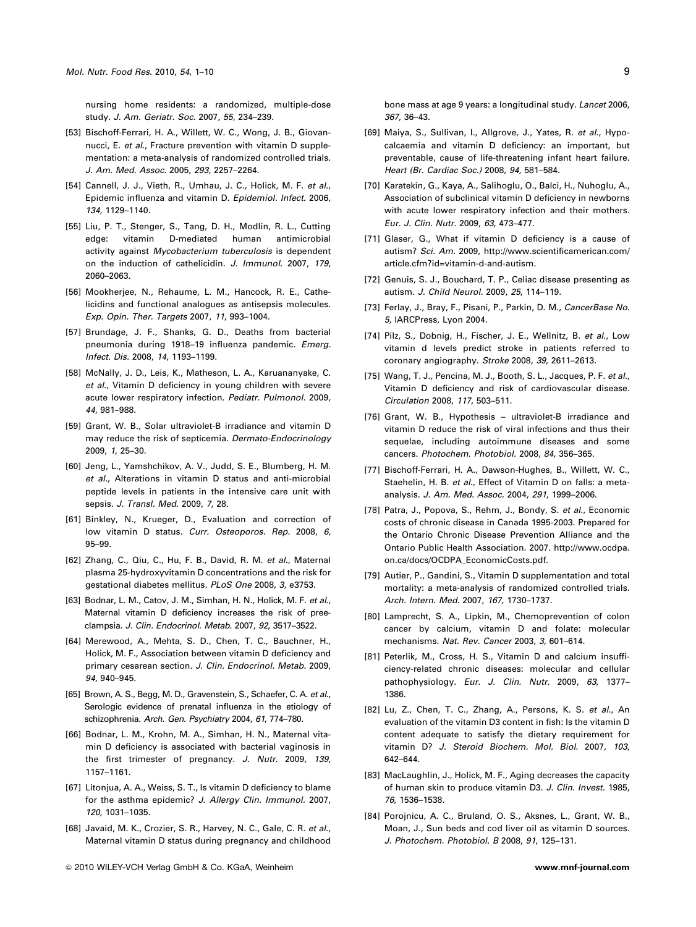nursing home residents: a randomized, multiple-dose study. *J. Am. Geriatr. Soc.* 2007, *55*, 234–239.

- [53] Bischoff-Ferrari, H. A., Willett, W. C., Wong, J. B., Giovannucci, E. *et al*., Fracture prevention with vitamin D supplementation: a meta-analysis of randomized controlled trials. *J. Am. Med. Assoc.* 2005, *293*, 2257–2264.
- [54] Cannell, J. J., Vieth, R., Umhau, J. C., Holick, M. F. *et al*., Epidemic influenza and vitamin D. *Epidemiol. Infect.* 2006, *134*, 1129–1140.
- [55] Liu, P. T., Stenger, S., Tang, D. H., Modlin, R. L., Cutting edge: vitamin D-mediated human antimicrobial activity against *Mycobacterium tuberculosis* is dependent on the induction of cathelicidin. *J. Immunol.* 2007, *179*, 2060–2063.
- [56] Mookherjee, N., Rehaume, L. M., Hancock, R. E., Cathelicidins and functional analogues as antisepsis molecules. *Exp. Opin. Ther. Targets* 2007, *11*, 993–1004.
- [57] Brundage, J. F., Shanks, G. D., Deaths from bacterial pneumonia during 1918–19 influenza pandemic. *Emerg. Infect. Dis.* 2008, *14*, 1193–1199.
- [58] McNally, J. D., Leis, K., Matheson, L. A., Karuananyake, C. *et al*., Vitamin D deficiency in young children with severe acute lower respiratory infection. *Pediatr. Pulmonol.* 2009, *44*, 981–988.
- [59] Grant, W. B., Solar ultraviolet-B irradiance and vitamin D may reduce the risk of septicemia. *Dermato-Endocrinology* 2009, *1*, 25–30.
- [60] Jeng, L., Yamshchikov, A. V., Judd, S. E., Blumberg, H. M. *et al*., Alterations in vitamin D status and anti-microbial peptide levels in patients in the intensive care unit with sepsis. *J. Transl. Med.* 2009, *7*, 28.
- [61] Binkley, N., Krueger, D., Evaluation and correction of low vitamin D status. *Curr. Osteoporos. Rep.* 2008, *6*, 95–99.
- [62] Zhang, C., Qiu, C., Hu, F. B., David, R. M. *et al*., Maternal plasma 25-hydroxyvitamin D concentrations and the risk for gestational diabetes mellitus. *PLoS One* 2008, *3*, e3753.
- [63] Bodnar, L. M., Catov, J. M., Simhan, H. N., Holick, M. F. *et al*., Maternal vitamin D deficiency increases the risk of preeclampsia. *J. Clin. Endocrinol. Metab.* 2007, *92*, 3517–3522.
- [64] Merewood, A., Mehta, S. D., Chen, T. C., Bauchner, H., Holick, M. F., Association between vitamin D deficiency and primary cesarean section. *J. Clin. Endocrinol. Metab.* 2009, *94*, 940–945.
- [65] Brown, A. S., Begg, M. D., Gravenstein, S., Schaefer, C. A. *et al*., Serologic evidence of prenatal influenza in the etiology of schizophrenia. *Arch. Gen. Psychiatry* 2004, *61*, 774–780.
- [66] Bodnar, L. M., Krohn, M. A., Simhan, H. N., Maternal vitamin D deficiency is associated with bacterial vaginosis in the first trimester of pregnancy. *J. Nutr.* 2009, *139*, 1157–1161.
- [67] Litonjua, A. A., Weiss, S. T., Is vitamin D deficiency to blame for the asthma epidemic? *J. Allergy Clin. Immunol.* 2007, *120*, 1031–1035.
- [68] Javaid, M. K., Crozier, S. R., Harvey, N. C., Gale, C. R. *et al*., Maternal vitamin D status during pregnancy and childhood

bone mass at age 9 years: a longitudinal study. *Lancet* 2006, *367*, 36–43.

- [69] Maiya, S., Sullivan, I., Allgrove, J., Yates, R. *et al*., Hypocalcaemia and vitamin D deficiency: an important, but preventable, cause of life-threatening infant heart failure. *Heart (Br. Cardiac Soc.)* 2008, *94*, 581–584.
- [70] Karatekin, G., Kaya, A., Salihoglu, O., Balci, H., Nuhoglu, A., Association of subclinical vitamin D deficiency in newborns with acute lower respiratory infection and their mothers. *Eur. J. Clin. Nutr.* 2009, *63*, 473–477.
- [71] Glaser, G., What if vitamin D deficiency is a cause of autism? *Sci. Am.* 2009, http://www.scientificamerican.com/ article.cfm?id=vitamin-d-and-autism.
- [72] Genuis, S. J., Bouchard, T. P., Celiac disease presenting as autism. *J. Child Neurol.* 2009, *25*, 114–119.
- [73] Ferlay, J., Bray, F., Pisani, P., Parkin, D. M., *CancerBase No. 5*, IARCPress, Lyon 2004.
- [74] Pilz, S., Dobnig, H., Fischer, J. E., Wellnitz, B. *et al*., Low vitamin d levels predict stroke in patients referred to coronary angiography. *Stroke* 2008, *39*, 2611–2613.
- [75] Wang, T. J., Pencina, M. J., Booth, S. L., Jacques, P. F. *et al*., Vitamin D deficiency and risk of cardiovascular disease. *Circulation* 2008, *117*, 503–511.
- [76] Grant, W. B., Hypothesis ultraviolet-B irradiance and vitamin D reduce the risk of viral infections and thus their sequelae, including autoimmune diseases and some cancers. *Photochem. Photobiol.* 2008, *84*, 356–365.
- [77] Bischoff-Ferrari, H. A., Dawson-Hughes, B., Willett, W. C., Staehelin, H. B. *et al*., Effect of Vitamin D on falls: a metaanalysis. *J. Am. Med. Assoc.* 2004, *291*, 1999–2006.
- [78] Patra, J., Popova, S., Rehm, J., Bondy, S. *et al*., Economic costs of chronic disease in Canada 1995-2003. Prepared for the Ontario Chronic Disease Prevention Alliance and the Ontario Public Health Association. 2007. http://www.ocdpa. on.ca/docs/OCDPA\_EconomicCosts.pdf.
- [79] Autier, P., Gandini, S., Vitamin D supplementation and total mortality: a meta-analysis of randomized controlled trials. *Arch. Intern. Med.* 2007, *167*, 1730–1737.
- [80] Lamprecht, S. A., Lipkin, M., Chemoprevention of colon cancer by calcium, vitamin D and folate: molecular mechanisms. *Nat. Rev. Cancer* 2003, *3*, 601–614.
- [81] Peterlik, M., Cross, H. S., Vitamin D and calcium insufficiency-related chronic diseases: molecular and cellular pathophysiology. *Eur. J. Clin. Nutr.* 2009, *63*, 1377– 1386.
- [82] Lu, Z., Chen, T. C., Zhang, A., Persons, K. S. *et al*., An evaluation of the vitamin D3 content in fish: Is the vitamin D content adequate to satisfy the dietary requirement for vitamin D? *J. Steroid Biochem. Mol. Biol.* 2007, *103*, 642–644.
- [83] MacLaughlin, J., Holick, M. F., Aging decreases the capacity of human skin to produce vitamin D3. *J. Clin. Invest.* 1985, *76*, 1536–1538.
- [84] Porojnicu, A. C., Bruland, O. S., Aksnes, L., Grant, W. B., Moan, J., Sun beds and cod liver oil as vitamin D sources. *J. Photochem. Photobiol. B* 2008, *91*, 125–131.